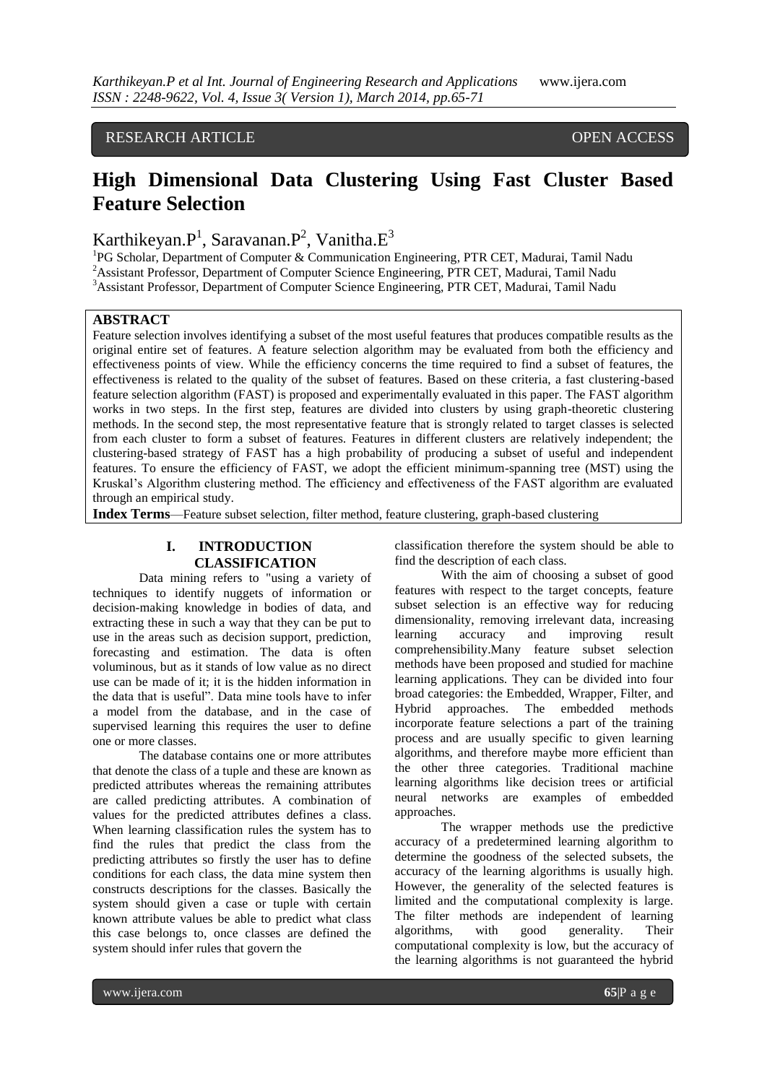RESEARCH ARTICLE OPEN ACCESS

# **High Dimensional Data Clustering Using Fast Cluster Based Feature Selection**

Karthikeyan. $P^1$ , Saravanan. $P^2$ , Vanitha. $E^3$ 

<sup>1</sup>PG Scholar, Department of Computer & Communication Engineering, PTR CET, Madurai, Tamil Nadu <sup>2</sup> Assistant Professor, Department of Computer Science Engineering, PTR CET, Madurai, Tamil Nadu <sup>3</sup>Assistant Professor, Department of Computer Science Engineering, PTR CET, Madurai, Tamil Nadu

## **ABSTRACT**

Feature selection involves identifying a subset of the most useful features that produces compatible results as the original entire set of features. A feature selection algorithm may be evaluated from both the efficiency and effectiveness points of view. While the efficiency concerns the time required to find a subset of features, the effectiveness is related to the quality of the subset of features. Based on these criteria, a fast clustering-based feature selection algorithm (FAST) is proposed and experimentally evaluated in this paper. The FAST algorithm works in two steps. In the first step, features are divided into clusters by using graph-theoretic clustering methods. In the second step, the most representative feature that is strongly related to target classes is selected from each cluster to form a subset of features. Features in different clusters are relatively independent; the clustering-based strategy of FAST has a high probability of producing a subset of useful and independent features. To ensure the efficiency of FAST, we adopt the efficient minimum-spanning tree (MST) using the Kruskal"s Algorithm clustering method. The efficiency and effectiveness of the FAST algorithm are evaluated through an empirical study.

**Index Terms**—Feature subset selection, filter method, feature clustering, graph-based clustering

# **I. INTRODUCTION CLASSIFICATION**

Data mining refers to "using a variety of techniques to identify nuggets of information or decision-making knowledge in bodies of data, and extracting these in such a way that they can be put to use in the areas such as decision support, prediction, forecasting and estimation. The data is often voluminous, but as it stands of low value as no direct use can be made of it; it is the hidden information in the data that is useful". Data mine tools have to infer a model from the database, and in the case of supervised learning this requires the user to define one or more classes.

The database contains one or more attributes that denote the class of a tuple and these are known as predicted attributes whereas the remaining attributes are called predicting attributes. A combination of values for the predicted attributes defines a class. When learning classification rules the system has to find the rules that predict the class from the predicting attributes so firstly the user has to define conditions for each class, the data mine system then constructs descriptions for the classes. Basically the system should given a case or tuple with certain known attribute values be able to predict what class this case belongs to, once classes are defined the system should infer rules that govern the

classification therefore the system should be able to find the description of each class.

With the aim of choosing a subset of good features with respect to the target concepts, feature subset selection is an effective way for reducing dimensionality, removing irrelevant data, increasing learning accuracy and improving result comprehensibility.Many feature subset selection methods have been proposed and studied for machine learning applications. They can be divided into four broad categories: the Embedded, Wrapper, Filter, and Hybrid approaches. The embedded methods incorporate feature selections a part of the training process and are usually specific to given learning algorithms, and therefore maybe more efficient than the other three categories. Traditional machine learning algorithms like decision trees or artificial neural networks are examples of embedded approaches.

The wrapper methods use the predictive accuracy of a predetermined learning algorithm to determine the goodness of the selected subsets, the accuracy of the learning algorithms is usually high. However, the generality of the selected features is limited and the computational complexity is large. The filter methods are independent of learning algorithms, with good generality. Their computational complexity is low, but the accuracy of the learning algorithms is not guaranteed the hybrid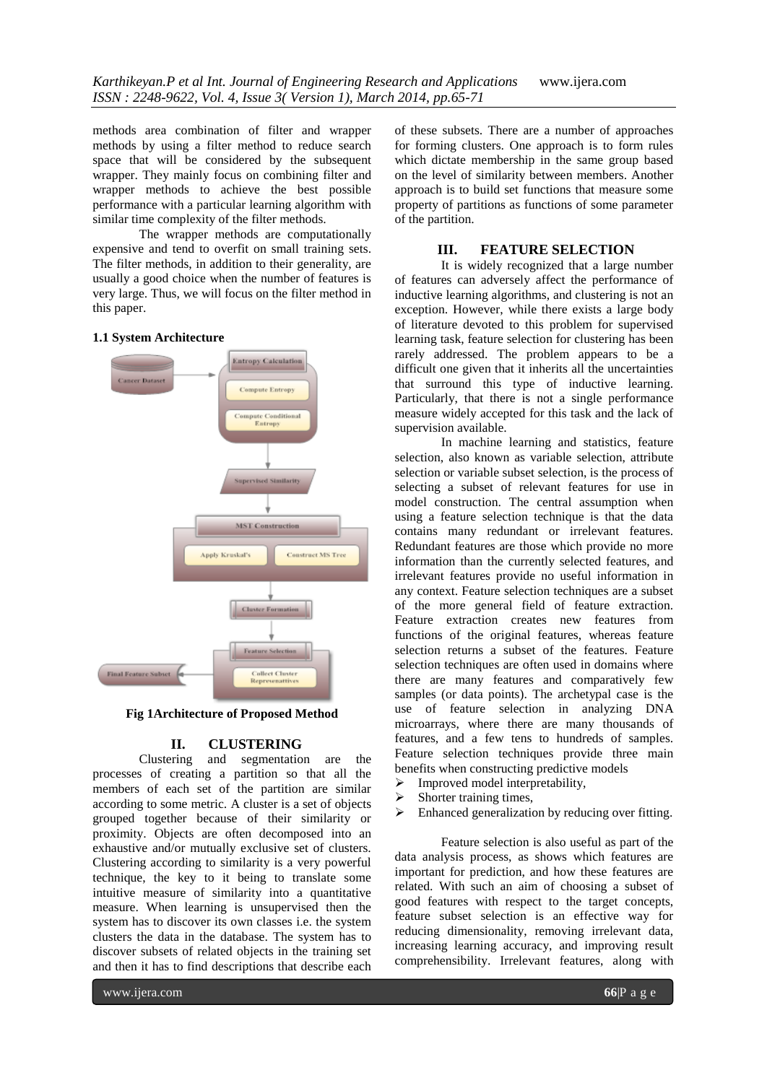methods area combination of filter and wrapper methods by using a filter method to reduce search space that will be considered by the subsequent wrapper. They mainly focus on combining filter and wrapper methods to achieve the best possible performance with a particular learning algorithm with similar time complexity of the filter methods.

The wrapper methods are computationally expensive and tend to overfit on small training sets. The filter methods, in addition to their generality, are usually a good choice when the number of features is very large. Thus, we will focus on the filter method in this paper.

# **1.1 System Architecture**



**Fig 1Architecture of Proposed Method**

### **II. CLUSTERING**

Clustering and segmentation are the processes of creating a partition so that all the members of each set of the partition are similar according to some metric. A cluster is a set of objects grouped together because of their similarity or proximity. Objects are often decomposed into an exhaustive and/or mutually exclusive set of clusters. Clustering according to similarity is a very powerful technique, the key to it being to translate some intuitive measure of similarity into a quantitative measure. When learning is unsupervised then the system has to discover its own classes i.e. the system clusters the data in the database. The system has to discover subsets of related objects in the training set and then it has to find descriptions that describe each

of these subsets. There are a number of approaches for forming clusters. One approach is to form rules which dictate membership in the same group based on the level of similarity between members. Another approach is to build set functions that measure some property of partitions as functions of some parameter of the partition.

# **III. FEATURE SELECTION**

It is widely recognized that a large number of features can adversely affect the performance of inductive learning algorithms, and clustering is not an exception. However, while there exists a large body of literature devoted to this problem for supervised learning task, feature selection for clustering has been rarely addressed. The problem appears to be a difficult one given that it inherits all the uncertainties that surround this type of inductive learning. Particularly, that there is not a single performance measure widely accepted for this task and the lack of supervision available.

In machine learning and statistics, feature selection, also known as variable selection, attribute selection or variable subset selection, is the process of selecting a subset of relevant features for use in model construction. The central assumption when using a feature selection technique is that the data contains many redundant or irrelevant features. Redundant features are those which provide no more information than the currently selected features, and irrelevant features provide no useful information in any context. Feature selection techniques are a subset of the more general field of feature extraction. Feature extraction creates new features from functions of the original features, whereas feature selection returns a subset of the features. Feature selection techniques are often used in domains where there are many features and comparatively few samples (or data points). The archetypal case is the use of feature selection in analyzing DNA microarrays, where there are many thousands of features, and a few tens to hundreds of samples. Feature selection techniques provide three main benefits when constructing predictive models

- $\triangleright$  Improved model interpretability,
- Shorter training times,
- $\triangleright$  Enhanced generalization by reducing over fitting.

Feature selection is also useful as part of the data analysis process, as shows which features are important for prediction, and how these features are related. With such an aim of choosing a subset of good features with respect to the target concepts, feature subset selection is an effective way for reducing dimensionality, removing irrelevant data, increasing learning accuracy, and improving result comprehensibility. Irrelevant features, along with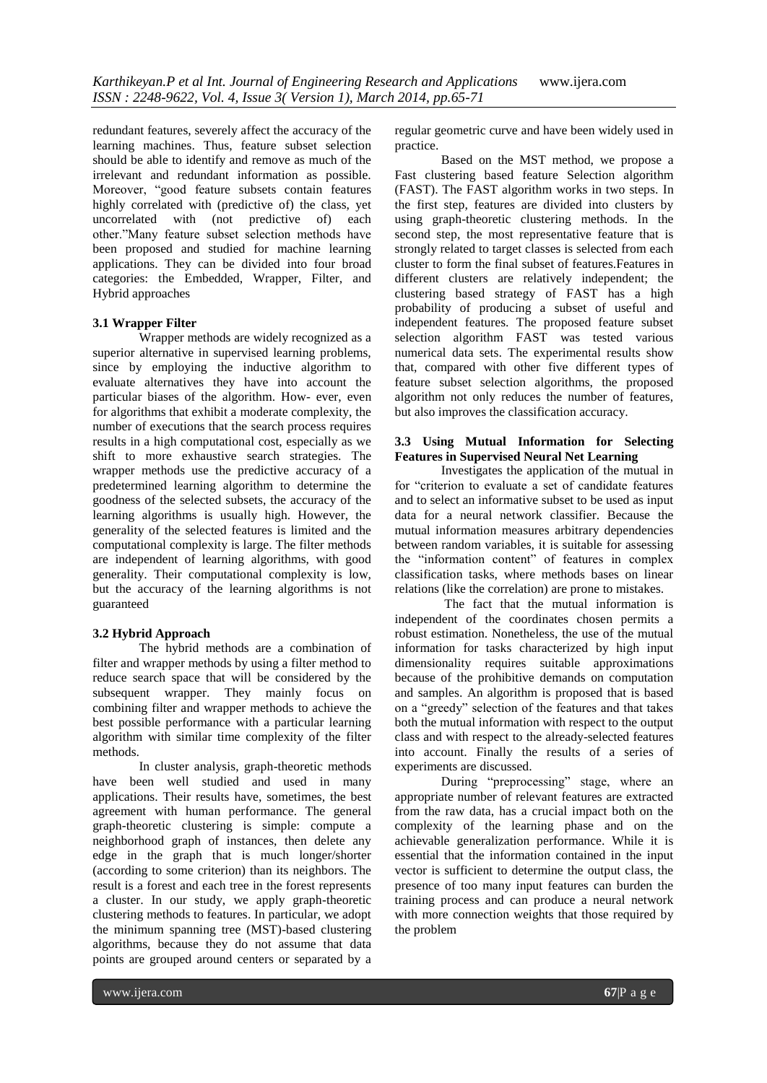redundant features, severely affect the accuracy of the learning machines. Thus, feature subset selection should be able to identify and remove as much of the irrelevant and redundant information as possible. Moreover, "good feature subsets contain features highly correlated with (predictive of) the class, yet uncorrelated with (not predictive of) each other."Many feature subset selection methods have been proposed and studied for machine learning applications. They can be divided into four broad categories: the Embedded, Wrapper, Filter, and Hybrid approaches

## **3.1 Wrapper Filter**

Wrapper methods are widely recognized as a superior alternative in supervised learning problems, since by employing the inductive algorithm to evaluate alternatives they have into account the particular biases of the algorithm. How- ever, even for algorithms that exhibit a moderate complexity, the number of executions that the search process requires results in a high computational cost, especially as we shift to more exhaustive search strategies. The wrapper methods use the predictive accuracy of a predetermined learning algorithm to determine the goodness of the selected subsets, the accuracy of the learning algorithms is usually high. However, the generality of the selected features is limited and the computational complexity is large. The filter methods are independent of learning algorithms, with good generality. Their computational complexity is low, but the accuracy of the learning algorithms is not guaranteed

## **3.2 Hybrid Approach**

The hybrid methods are a combination of filter and wrapper methods by using a filter method to reduce search space that will be considered by the subsequent wrapper. They mainly focus on combining filter and wrapper methods to achieve the best possible performance with a particular learning algorithm with similar time complexity of the filter methods.

In cluster analysis, graph-theoretic methods have been well studied and used in many applications. Their results have, sometimes, the best agreement with human performance. The general graph-theoretic clustering is simple: compute a neighborhood graph of instances, then delete any edge in the graph that is much longer/shorter (according to some criterion) than its neighbors. The result is a forest and each tree in the forest represents a cluster. In our study, we apply graph-theoretic clustering methods to features. In particular, we adopt the minimum spanning tree (MST)-based clustering algorithms, because they do not assume that data points are grouped around centers or separated by a

regular geometric curve and have been widely used in practice.

Based on the MST method, we propose a Fast clustering based feature Selection algorithm (FAST). The FAST algorithm works in two steps. In the first step, features are divided into clusters by using graph-theoretic clustering methods. In the second step, the most representative feature that is strongly related to target classes is selected from each cluster to form the final subset of features.Features in different clusters are relatively independent; the clustering based strategy of FAST has a high probability of producing a subset of useful and independent features. The proposed feature subset selection algorithm FAST was tested various numerical data sets. The experimental results show that, compared with other five different types of feature subset selection algorithms, the proposed algorithm not only reduces the number of features, but also improves the classification accuracy.

## **3.3 Using Mutual Information for Selecting Features in Supervised Neural Net Learning**

Investigates the application of the mutual in for "criterion to evaluate a set of candidate features and to select an informative subset to be used as input data for a neural network classifier. Because the mutual information measures arbitrary dependencies between random variables, it is suitable for assessing the "information content" of features in complex classification tasks, where methods bases on linear relations (like the correlation) are prone to mistakes.

The fact that the mutual information is independent of the coordinates chosen permits a robust estimation. Nonetheless, the use of the mutual information for tasks characterized by high input dimensionality requires suitable approximations because of the prohibitive demands on computation and samples. An algorithm is proposed that is based on a "greedy" selection of the features and that takes both the mutual information with respect to the output class and with respect to the already-selected features into account. Finally the results of a series of experiments are discussed.

During "preprocessing" stage, where an appropriate number of relevant features are extracted from the raw data, has a crucial impact both on the complexity of the learning phase and on the achievable generalization performance. While it is essential that the information contained in the input vector is sufficient to determine the output class, the presence of too many input features can burden the training process and can produce a neural network with more connection weights that those required by the problem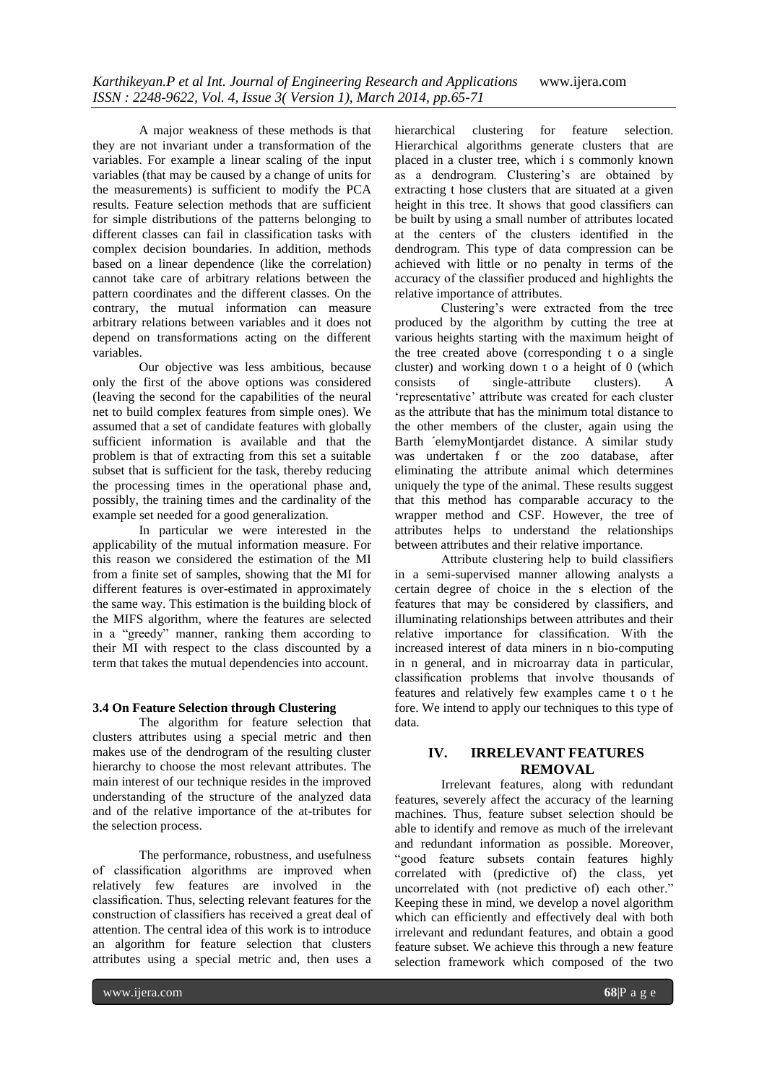A major weakness of these methods is that they are not invariant under a transformation of the variables. For example a linear scaling of the input variables (that may be caused by a change of units for the measurements) is sufficient to modify the PCA results. Feature selection methods that are sufficient for simple distributions of the patterns belonging to different classes can fail in classification tasks with complex decision boundaries. In addition, methods based on a linear dependence (like the correlation) cannot take care of arbitrary relations between the pattern coordinates and the different classes. On the contrary, the mutual information can measure arbitrary relations between variables and it does not depend on transformations acting on the different variables.

Our objective was less ambitious, because only the first of the above options was considered (leaving the second for the capabilities of the neural net to build complex features from simple ones). We assumed that a set of candidate features with globally sufficient information is available and that the problem is that of extracting from this set a suitable subset that is sufficient for the task, thereby reducing the processing times in the operational phase and, possibly, the training times and the cardinality of the example set needed for a good generalization.

In particular we were interested in the applicability of the mutual information measure. For this reason we considered the estimation of the MI from a finite set of samples, showing that the MI for different features is over-estimated in approximately the same way. This estimation is the building block of the MIFS algorithm, where the features are selected in a "greedy" manner, ranking them according to their MI with respect to the class discounted by a term that takes the mutual dependencies into account.

#### **3.4 On Feature Selection through Clustering**

The algorithm for feature selection that clusters attributes using a special metric and then makes use of the dendrogram of the resulting cluster hierarchy to choose the most relevant attributes. The main interest of our technique resides in the improved understanding of the structure of the analyzed data and of the relative importance of the at-tributes for the selection process.

The performance, robustness, and usefulness of classification algorithms are improved when relatively few features are involved in the classification. Thus, selecting relevant features for the construction of classifiers has received a great deal of attention. The central idea of this work is to introduce an algorithm for feature selection that clusters attributes using a special metric and, then uses a

hierarchical clustering for feature selection. Hierarchical algorithms generate clusters that are placed in a cluster tree, which i s commonly known as a dendrogram. Clustering's are obtained by extracting t hose clusters that are situated at a given height in this tree. It shows that good classifiers can be built by using a small number of attributes located at the centers of the clusters identified in the dendrogram. This type of data compression can be achieved with little or no penalty in terms of the accuracy of the classifier produced and highlights the relative importance of attributes.

Clustering"s were extracted from the tree produced by the algorithm by cutting the tree at various heights starting with the maximum height of the tree created above (corresponding t o a single cluster) and working down t o a height of 0 (which consists of single-attribute clusters). A 'representative' attribute was created for each cluster as the attribute that has the minimum total distance to the other members of the cluster, again using the Barth ´elemyMontjardet distance. A similar study was undertaken f or the zoo database, after eliminating the attribute animal which determines uniquely the type of the animal. These results suggest that this method has comparable accuracy to the wrapper method and CSF. However, the tree of attributes helps to understand the relationships between attributes and their relative importance.

Attribute clustering help to build classifiers in a semi-supervised manner allowing analysts a certain degree of choice in the s election of the features that may be considered by classifiers, and illuminating relationships between attributes and their relative importance for classification. With the increased interest of data miners in n bio-computing in n general, and in microarray data in particular, classification problems that involve thousands of features and relatively few examples came t o t he fore. We intend to apply our techniques to this type of data.

# **IV. IRRELEVANT FEATURES REMOVAL**

Irrelevant features, along with redundant features, severely affect the accuracy of the learning machines. Thus, feature subset selection should be able to identify and remove as much of the irrelevant and redundant information as possible. Moreover, "good feature subsets contain features highly correlated with (predictive of) the class, yet uncorrelated with (not predictive of) each other." Keeping these in mind, we develop a novel algorithm which can efficiently and effectively deal with both irrelevant and redundant features, and obtain a good feature subset. We achieve this through a new feature selection framework which composed of the two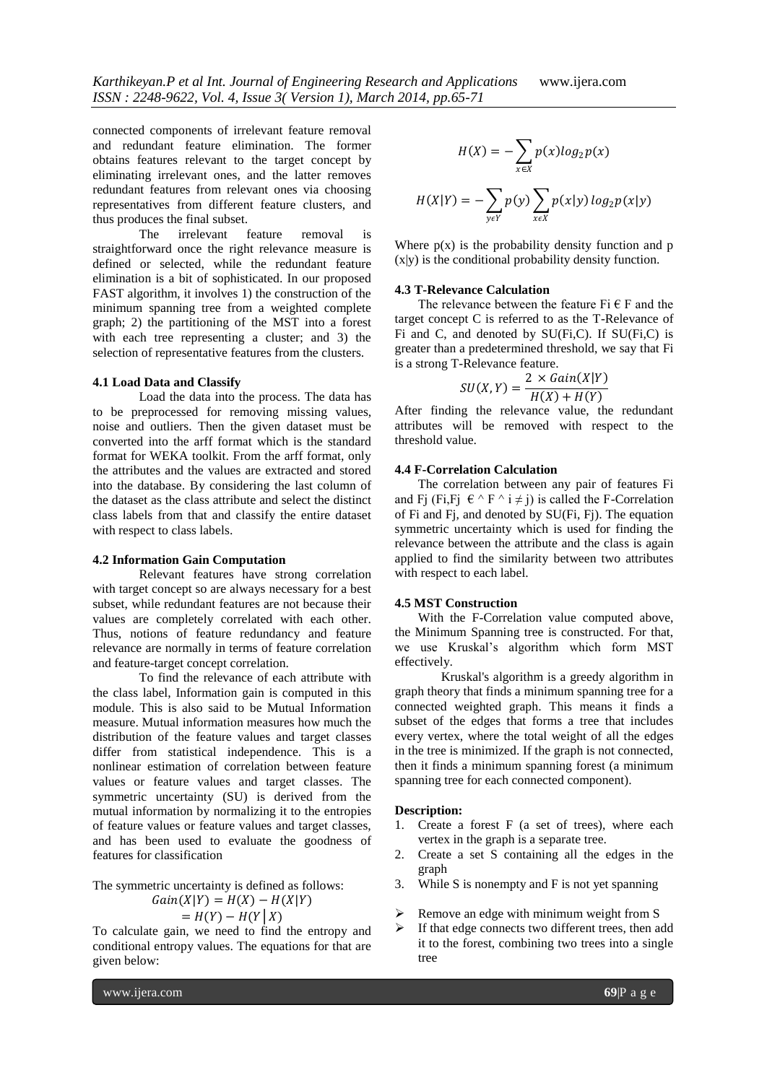connected components of irrelevant feature removal and redundant feature elimination. The former obtains features relevant to the target concept by eliminating irrelevant ones, and the latter removes redundant features from relevant ones via choosing representatives from different feature clusters, and thus produces the final subset.

The irrelevant feature removal is straightforward once the right relevance measure is defined or selected, while the redundant feature elimination is a bit of sophisticated. In our proposed FAST algorithm, it involves 1) the construction of the minimum spanning tree from a weighted complete graph; 2) the partitioning of the MST into a forest with each tree representing a cluster; and 3) the selection of representative features from the clusters.

#### **4.1 Load Data and Classify**

Load the data into the process. The data has to be preprocessed for removing missing values, noise and outliers. Then the given dataset must be converted into the arff format which is the standard format for WEKA toolkit. From the arff format, only the attributes and the values are extracted and stored into the database. By considering the last column of the dataset as the class attribute and select the distinct class labels from that and classify the entire dataset with respect to class labels.

## **4.2 Information Gain Computation**

Relevant features have strong correlation with target concept so are always necessary for a best subset, while redundant features are not because their values are completely correlated with each other. Thus, notions of feature redundancy and feature relevance are normally in terms of feature correlation and feature-target concept correlation.

To find the relevance of each attribute with the class label, Information gain is computed in this module. This is also said to be Mutual Information measure. Mutual information measures how much the distribution of the feature values and target classes differ from statistical independence. This is a nonlinear estimation of correlation between feature values or feature values and target classes. The symmetric uncertainty (SU) is derived from the mutual information by normalizing it to the entropies of feature values or feature values and target classes, and has been used to evaluate the goodness of features for classification

The symmetric uncertainty is defined as follows:

$$
Gain(X|Y) = H(X) - H(X|Y)
$$
  
= H(Y) - H(Y|X)

To calculate gain, we need to find the entropy and conditional entropy values. The equations for that are given below:

$$
H(X) = -\sum_{x \in X} p(x) \log_2 p(x)
$$
  

$$
H(X|Y) = -\sum_{y \in Y} p(y) \sum_{x \in X} p(x|y) \log_2 p(x|y)
$$

Where  $p(x)$  is the probability density function and p  $(x|y)$  is the conditional probability density function.

## **4.3 T-Relevance Calculation**

The relevance between the feature  $Fi \in F$  and the target concept C is referred to as the T-Relevance of Fi and C, and denoted by SU(Fi,C). If SU(Fi,C) is greater than a predetermined threshold, we say that Fi is a strong T-Relevance feature.

$$
SU(X,Y) = \frac{2 \times Gain(X|Y)}{H(X) + H(Y)}
$$

After finding the relevance value, the redundant attributes will be removed with respect to the threshold value.

#### **4.4 F-Correlation Calculation**

The correlation between any pair of features Fi and Fj (Fi, Fj  $\in$   $\wedge$  F  $\wedge$  i  $\neq$  j) is called the F-Correlation of Fi and Fj, and denoted by SU(Fi, Fj). The equation symmetric uncertainty which is used for finding the relevance between the attribute and the class is again applied to find the similarity between two attributes with respect to each label.

## **4.5 MST Construction**

With the F-Correlation value computed above, the Minimum Spanning tree is constructed. For that, we use Kruskal"s algorithm which form MST effectively.

Kruskal's algorithm is a greedy algorithm in graph theory that finds a minimum spanning tree for a connected weighted graph. This means it finds a subset of the edges that forms a tree that includes every vertex, where the total weight of all the edges in the tree is minimized. If the graph is not connected, then it finds a minimum spanning forest (a minimum spanning tree for each connected component).

#### **Description:**

- 1. Create a forest F (a set of trees), where each vertex in the graph is a separate tree.
- 2. Create a set S containing all the edges in the graph
- 3. While S is nonempty and F is not yet spanning
- $\triangleright$  Remove an edge with minimum weight from S
- $\triangleright$  If that edge connects two different trees, then add it to the forest, combining two trees into a single tree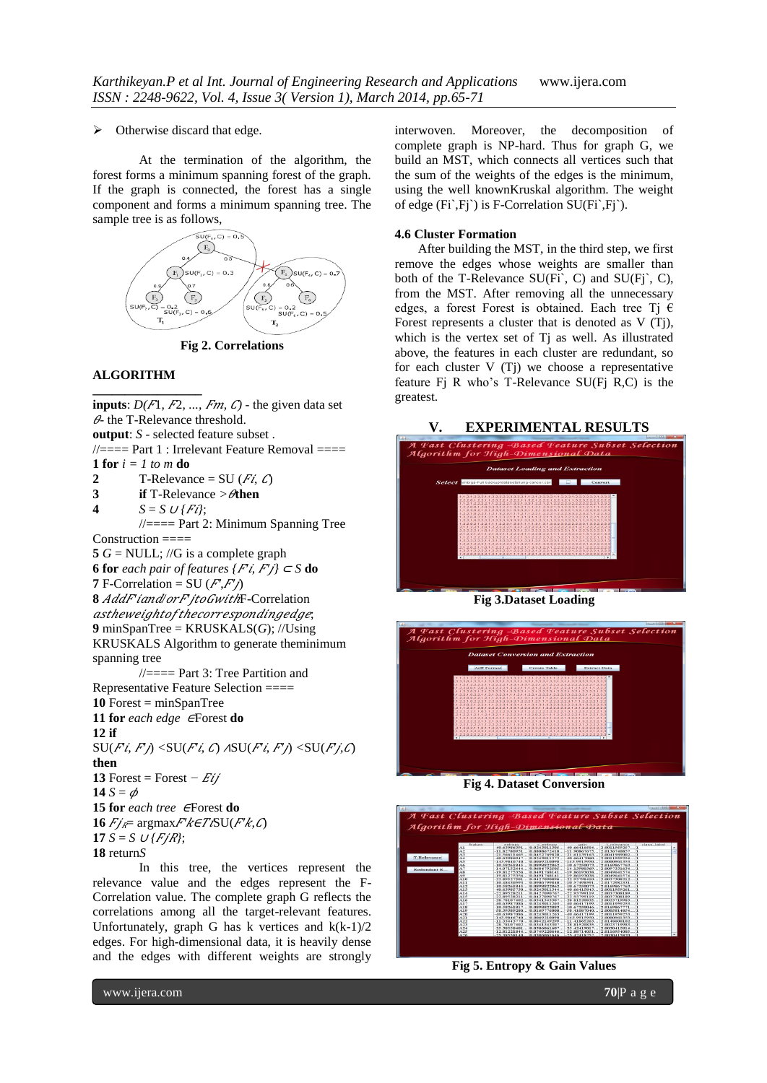$\triangleright$  Otherwise discard that edge.

At the termination of the algorithm, the forest forms a minimum spanning forest of the graph. If the graph is connected, the forest has a single component and forms a minimum spanning tree. The sample tree is as follows,



**Fig 2. Correlations**

## **ALGORITHM**

**\_\_\_\_\_\_\_\_\_\_\_\_\_\_\_\_\_ inputs**:  $D(F1, F2, ..., Fm, C)$  - the given data set  $\theta$ - the T-Relevance threshold. **output**: *S* - selected feature subset .  $\textit{N}$  ==== Part 1 : Irrelevant Feature Removal ==== **1 for** *i = 1 to m* **do 2 T**-Relevance = SU (*Fi*,  $\theta$ ) **3 if** T-Relevance *>***then 4**  $S = S \cup \{Fi\};$ //==== Part 2: Minimum Spanning Tree  $Construction == ==$ **5**  $G = \text{NULL}$ ; //G is a complete graph **6 for** *each pair of features*  $\{F \textit{i}, F \textit{j}\} \subset S$  *do* **7 F**-Correlation = SU  $(F, F)$ 8 *AddF iand/orF jtoGwith*F-Correlation astheweightof the correspondingedge, **9** minSpanTree = KRUSKALS(*G*); //Using KRUSKALS Algorithm to generate theminimum spanning tree //==== Part 3: Tree Partition and Representative Feature Selection ==== **10** Forest = minSpanTree **11 for** *each edge* ∈Forest **do 12 if**   $\text{SU}(F\textit{i}, F\textit{j}) < \text{SU}(F\textit{i}, C)$   $\land$   $\text{SU}(F\textit{i}, F\textit{j}) < \text{SU}(F\textit{j}, C)$ **then 13** Forest = Forest  $-\mathit{Eij}$ 14  $S = \phi$ **15 for** *each tree* ∈Forest **do 16**  $F/\mathcal{F}$  argmax $F'k \in T\mathcal{S}U(F'k, C)$ 17  $S = S \cup \{FjR\};$ **18** return*S*

In this tree, the vertices represent the relevance value and the edges represent the F-Correlation value. The complete graph G reflects the correlations among all the target-relevant features. Unfortunately, graph G has k vertices and  $k(k-1)/2$ edges. For high-dimensional data, it is heavily dense and the edges with different weights are strongly

interwoven. Moreover, the decomposition of complete graph is NP-hard. Thus for graph G, we build an MST, which connects all vertices such that the sum of the weights of the edges is the minimum, using the well knownKruskal algorithm. The weight of edge (Fi`,Fj`) is F-Correlation SU(Fi`,Fj`).

#### **4.6 Cluster Formation**

After building the MST, in the third step, we first remove the edges whose weights are smaller than both of the T-Relevance SU(Fi`, C) and SU(Fj`, C), from the MST. After removing all the unnecessary edges, a forest Forest is obtained. Each tree Tj  $\epsilon$ Forest represents a cluster that is denoted as V (Tj), which is the vertex set of Tj as well. As illustrated above, the features in each cluster are redundant, so for each cluster  $V(T_i)$  we choose a representative feature Fj R who"s T-Relevance SU(Fj R,C) is the greatest.





**Fig 4. Dataset Conversion**



**Fig 5. Entropy & Gain Values**